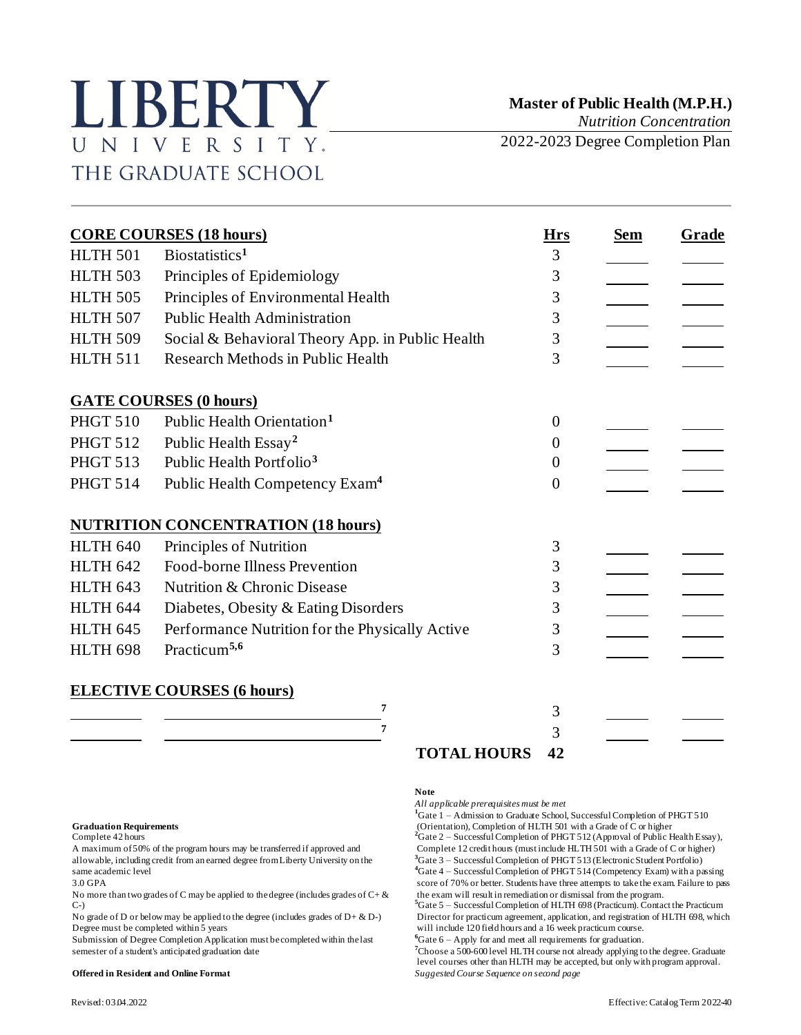# LIBERTY UNIVERSITY. THE GRADUATE SCHOOL

 **Master of Public Health (M.P.H.)**

*Nutrition Concentration*

2022-2023 Degree Completion Plan

| <b>CORE COURSES (18 hours)</b> |                                                  |                | <b>Sem</b> | Grade |
|--------------------------------|--------------------------------------------------|----------------|------------|-------|
| <b>HLTH 501</b>                | Biostatistics <sup>1</sup>                       | 3              |            |       |
| <b>HLTH 503</b>                | Principles of Epidemiology                       | 3              |            |       |
| <b>HLTH 505</b>                | Principles of Environmental Health               | 3              |            |       |
| <b>HLTH 507</b>                | <b>Public Health Administration</b>              | 3              |            |       |
| <b>HLTH 509</b>                | Social & Behavioral Theory App. in Public Health | 3              |            |       |
| <b>HLTH 511</b>                | <b>Research Methods in Public Health</b>         | 3              |            |       |
|                                | <b>GATE COURSES (0 hours)</b>                    |                |            |       |
| <b>PHGT 510</b>                | Public Health Orientation <sup>1</sup>           | $\theta$       |            |       |
| <b>PHGT 512</b>                | Public Health Essay <sup>2</sup>                 | $\Omega$       |            |       |
| <b>PHGT 513</b>                | Public Health Portfolio <sup>3</sup>             | $\theta$       |            |       |
| <b>PHGT 514</b>                | Public Health Competency Exam <sup>4</sup>       | $\overline{0}$ |            |       |
|                                | <b>NUTRITION CONCENTRATION (18 hours)</b>        |                |            |       |
| <b>HLTH 640</b>                | Principles of Nutrition                          | 3              |            |       |
| <b>HLTH 642</b>                | Food-borne Illness Prevention                    | 3              |            |       |
| <b>HLTH 643</b>                | Nutrition & Chronic Disease                      | 3              |            |       |
| <b>HLTH 644</b>                | Diabetes, Obesity & Eating Disorders             | 3              |            |       |
| <b>HLTH 645</b>                | Performance Nutrition for the Physically Active  | 3              |            |       |
| HLTH 698                       | Practicum <sup>5,6</sup>                         | 3              |            |       |
|                                | <b>ELECTIVE COURSES (6 hours)</b>                |                |            |       |
|                                | 7                                                | 3              |            |       |
|                                | 7                                                | 3              |            |       |
|                                | <b>TOTAL HOURS</b>                               | 42             |            |       |

allowable, including credit from an earned degree from Liberty University on the

No more than two grades of C may be applied to the degree (includes grades of  $C + \&$  $C-$ 

Submission of Degree Completion Application must be completed within the last semester of a student's anticipated graduation date **<sup>7</sup>**Choose a 500-600 level HLTH course not already applying to the degree. Graduate

## **Note**

*All applicable prerequisites must be met*

<sup>1</sup>Gate 1 – Admission to Graduate School, Successful Completion of PHGT 510 Graduation Requirements<br> **Complete 42 hours** 2 and the Completion of PHGT 512 (Approval of Public Health Essay),<br>
2Gate 2 – Successful Completion of PHGT 512 (Approval of Public Health Essay), A maximum of 50% of the program hours may be transferred if approved and<br>
allowable, including credit from an earned degree from Liberty University on the <sup>3</sup>Gate 3 – Successful Completion of PHGT 513 (Electronic Student P same academic level **4**Gate 4 – Successful Completion of PHGT 514 (Competency Exam) with a passing<br>3.0 GPA **4Gate 4** – Successful Completion of PHGT 514 (Competency Exam) with a passing<br>3.0 GPA

score of 70% or better. Students have three attempts to take the exam. Failure to pass the exam will result in remediation or dismissal from the program. **<sup>5</sup>**Gate 5 – Successful Completion of HLTH 698 (Practicum). Contact the Practicum

No grade of D or below may be applied to the degree (includes grades of  $D + \& D$ ) Director for practicum agreement, application, and registration of HLTH 698, which Degree must be completed within 5 years will include 120 will include 120 field hours and a 16 week practicum course.<br>  ${}^6$ Gate 6 - Apply for and meet all requirements for graduation.

level courses other than HLTH may be accepted, but only with program approval. **Offered in Resident and Online Format** *Suggested Course Sequence on second page*